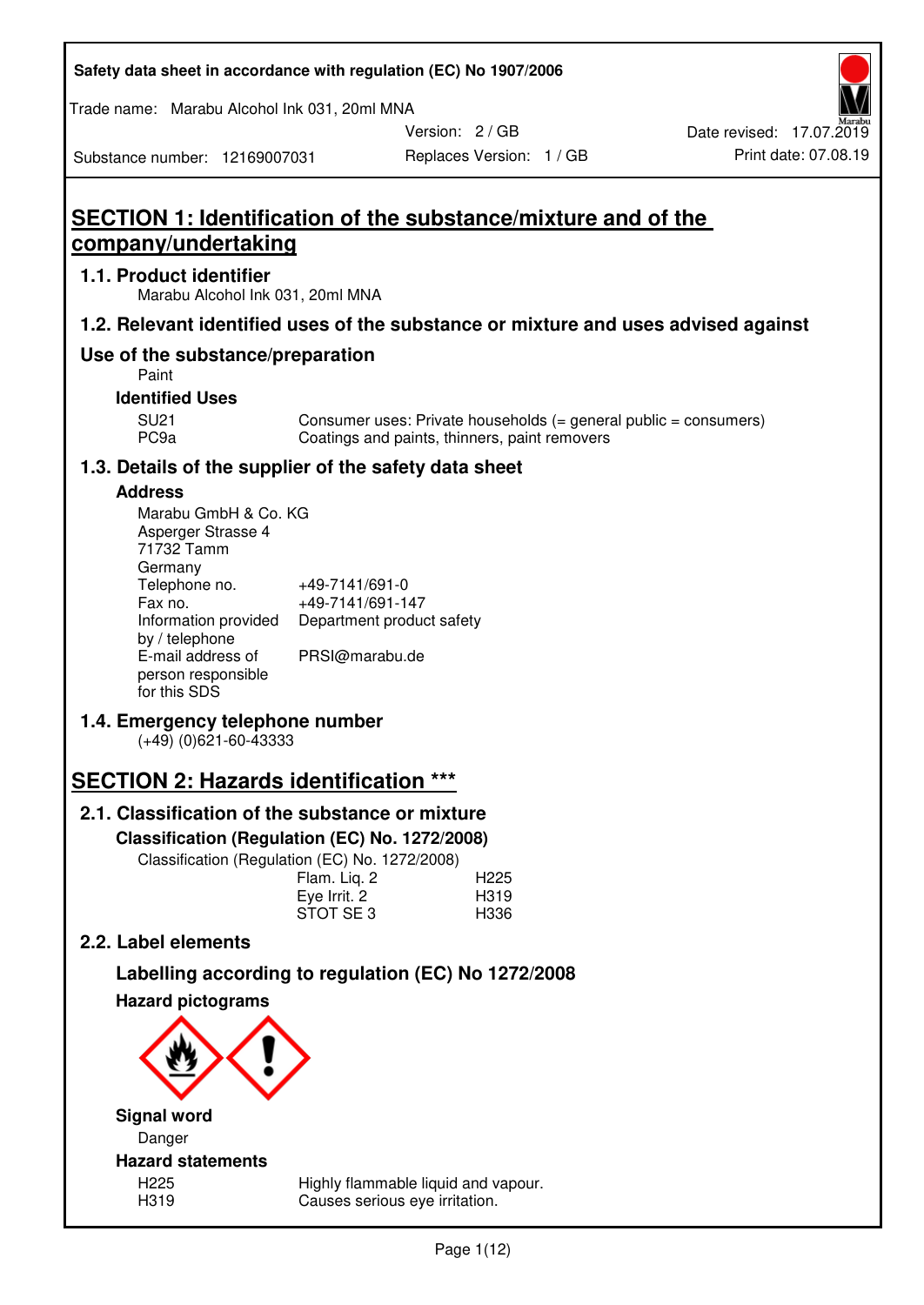| Safety data sheet in accordance with regulation (EC) No 1907/2006 |  |
|-------------------------------------------------------------------|--|
|-------------------------------------------------------------------|--|

Trade name: Marabu Alcohol Ink 031, 20ml MNA

Version: 2 / GB

Replaces Version: 1 / GB Print date: 07.08.19 Date revised: 17.07.2019

Substance number: 12169007031

**SECTION 1: Identification of the substance/mixture and of the company/undertaking** 

### **1.1. Product identifier**

Marabu Alcohol Ink 031, 20ml MNA

# **1.2. Relevant identified uses of the substance or mixture and uses advised against**

# **Use of the substance/preparation**

Paint

### **Identified Uses**

SU21 Consumer uses: Private households (= general public = consumers)<br>PC9a Coatings and paints, thinners, paint removers Coatings and paints, thinners, paint removers

# **1.3. Details of the supplier of the safety data sheet**

#### **Address**

| Marabu GmbH & Co. KG |                           |
|----------------------|---------------------------|
| Asperger Strasse 4   |                           |
| 71732 Tamm           |                           |
| Germany              |                           |
| Telephone no.        | +49-7141/691-0            |
| Fax no.              | +49-7141/691-147          |
| Information provided | Department product safety |
| by / telephone       |                           |
| E-mail address of    | PRSI@marabu.de            |
| person responsible   |                           |
| for this SDS         |                           |

# **1.4. Emergency telephone number**

(+49) (0)621-60-43333

# **SECTION 2: Hazards identification \*\*\***

# **2.1. Classification of the substance or mixture**

**Classification (Regulation (EC) No. 1272/2008)** 

Classification (Regulation (EC) No. 1272/2008)

|              | . |                  |
|--------------|---|------------------|
| Flam. Liq. 2 |   | H <sub>225</sub> |
| Eye Irrit. 2 |   | H319             |
| STOT SE3     |   | H336             |
|              |   |                  |

# **2.2. Label elements**

# **Labelling according to regulation (EC) No 1272/2008**



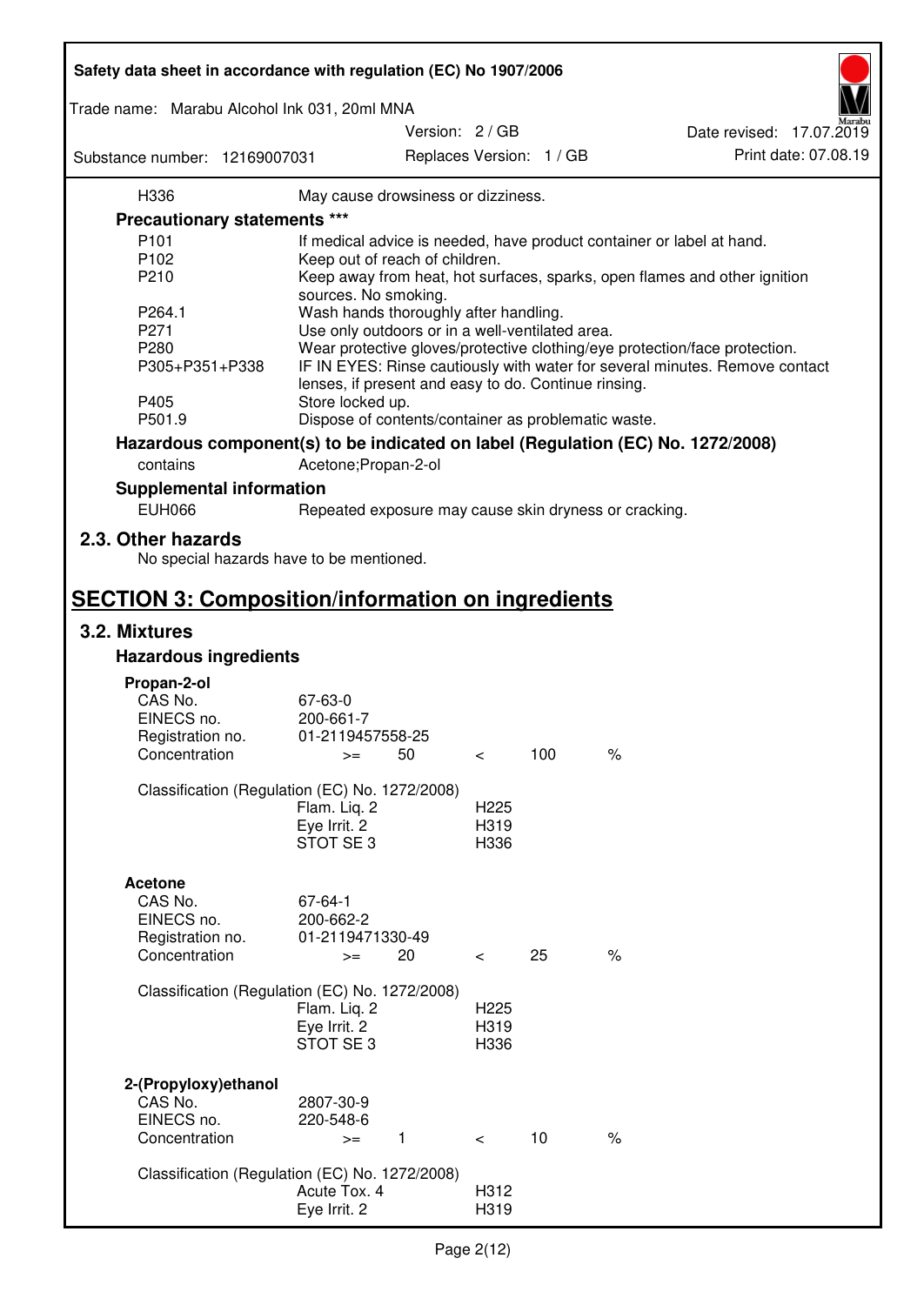| Safety data sheet in accordance with regulation (EC) No 1907/2006 |                                                       |                          |     |                                                                                 |
|-------------------------------------------------------------------|-------------------------------------------------------|--------------------------|-----|---------------------------------------------------------------------------------|
| Trade name: Marabu Alcohol Ink 031, 20ml MNA                      |                                                       |                          |     |                                                                                 |
|                                                                   |                                                       | Version: 2 / GB          |     | Date revised: 17.07.2019                                                        |
| Substance number: 12169007031                                     |                                                       | Replaces Version: 1 / GB |     | Print date: 07.08.19                                                            |
| H336                                                              | May cause drowsiness or dizziness.                    |                          |     |                                                                                 |
| Precautionary statements ***                                      |                                                       |                          |     |                                                                                 |
| P <sub>101</sub>                                                  |                                                       |                          |     | If medical advice is needed, have product container or label at hand.           |
| P102                                                              | Keep out of reach of children.                        |                          |     |                                                                                 |
| P210                                                              |                                                       |                          |     | Keep away from heat, hot surfaces, sparks, open flames and other ignition       |
|                                                                   | sources. No smoking.                                  |                          |     |                                                                                 |
| P264.1                                                            | Wash hands thoroughly after handling.                 |                          |     |                                                                                 |
| P271                                                              | Use only outdoors or in a well-ventilated area.       |                          |     |                                                                                 |
| P280                                                              |                                                       |                          |     | Wear protective gloves/protective clothing/eye protection/face protection.      |
| P305+P351+P338                                                    | lenses, if present and easy to do. Continue rinsing.  |                          |     | IF IN EYES: Rinse cautiously with water for several minutes. Remove contact     |
| P405<br>P501.9                                                    | Store locked up.                                      |                          |     |                                                                                 |
|                                                                   | Dispose of contents/container as problematic waste.   |                          |     |                                                                                 |
|                                                                   |                                                       |                          |     | Hazardous component(s) to be indicated on label (Regulation (EC) No. 1272/2008) |
| contains                                                          | Acetone; Propan-2-ol                                  |                          |     |                                                                                 |
| <b>Supplemental information</b>                                   |                                                       |                          |     |                                                                                 |
| <b>EUH066</b>                                                     | Repeated exposure may cause skin dryness or cracking. |                          |     |                                                                                 |
| 2.3. Other hazards<br>No special hazards have to be mentioned.    |                                                       |                          |     |                                                                                 |
| <b>SECTION 3: Composition/information on ingredients</b>          |                                                       |                          |     |                                                                                 |
| 3.2. Mixtures                                                     |                                                       |                          |     |                                                                                 |
| <b>Hazardous ingredients</b>                                      |                                                       |                          |     |                                                                                 |
|                                                                   |                                                       |                          |     |                                                                                 |
| Propan-2-ol<br>CAS No.                                            | 67-63-0                                               |                          |     |                                                                                 |
| EINECS no.                                                        | 200-661-7                                             |                          |     |                                                                                 |
| Registration no.                                                  | 01-2119457558-25                                      |                          |     |                                                                                 |
| Concentration                                                     | 50<br>$>=$                                            | $\,<\,$                  | 100 | $\%$                                                                            |
|                                                                   |                                                       |                          |     |                                                                                 |
|                                                                   | Classification (Regulation (EC) No. 1272/2008)        |                          |     |                                                                                 |
|                                                                   | Flam. Liq. 2                                          | H <sub>225</sub>         |     |                                                                                 |
|                                                                   | Eye Irrit. 2                                          | H319                     |     |                                                                                 |
|                                                                   | STOT SE3                                              | H336                     |     |                                                                                 |
|                                                                   |                                                       |                          |     |                                                                                 |
| <b>Acetone</b>                                                    |                                                       |                          |     |                                                                                 |
| CAS No.                                                           | 67-64-1                                               |                          |     |                                                                                 |
| EINECS no.                                                        | 200-662-2                                             |                          |     |                                                                                 |
| Registration no.                                                  | 01-2119471330-49                                      |                          |     |                                                                                 |
| Concentration                                                     | 20<br>$>=$                                            | $\overline{\phantom{0}}$ | 25  | $\%$                                                                            |
|                                                                   | Classification (Regulation (EC) No. 1272/2008)        |                          |     |                                                                                 |
|                                                                   | Flam. Liq. 2                                          | H <sub>225</sub>         |     |                                                                                 |
|                                                                   | Eye Irrit. 2                                          | H319                     |     |                                                                                 |
|                                                                   | STOT SE3                                              | H336                     |     |                                                                                 |
|                                                                   |                                                       |                          |     |                                                                                 |
| 2-(Propyloxy) ethanol<br>CAS No.                                  | 2807-30-9                                             |                          |     |                                                                                 |
| EINECS no.                                                        | 220-548-6                                             |                          |     |                                                                                 |
| Concentration                                                     | $\mathbf{1}$<br>$>=$                                  | $\prec$                  | 10  | $\%$                                                                            |
|                                                                   |                                                       |                          |     |                                                                                 |
|                                                                   | Classification (Regulation (EC) No. 1272/2008)        |                          |     |                                                                                 |
|                                                                   | Acute Tox. 4                                          | H312                     |     |                                                                                 |
|                                                                   | Eye Irrit. 2                                          | H319                     |     |                                                                                 |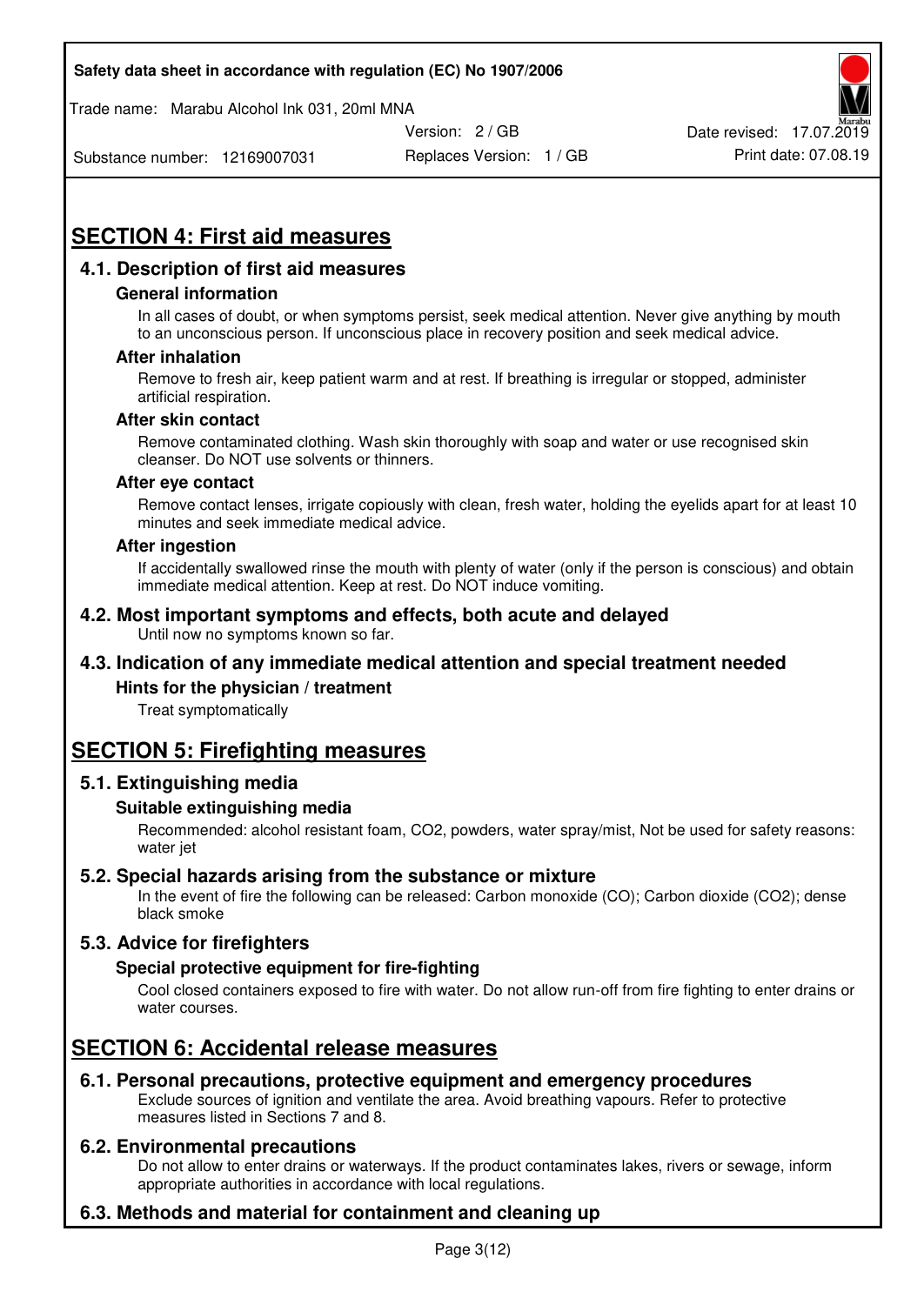Trade name: Marabu Alcohol Ink 031, 20ml MNA



Replaces Version: 1 / GB Print date: 07.08.19 Date revised: 17.07.2019

Substance number: 12169007031

# **SECTION 4: First aid measures**

# **4.1. Description of first aid measures**

#### **General information**

In all cases of doubt, or when symptoms persist, seek medical attention. Never give anything by mouth to an unconscious person. If unconscious place in recovery position and seek medical advice.

#### **After inhalation**

Remove to fresh air, keep patient warm and at rest. If breathing is irregular or stopped, administer artificial respiration.

#### **After skin contact**

Remove contaminated clothing. Wash skin thoroughly with soap and water or use recognised skin cleanser. Do NOT use solvents or thinners.

#### **After eye contact**

Remove contact lenses, irrigate copiously with clean, fresh water, holding the eyelids apart for at least 10 minutes and seek immediate medical advice.

#### **After ingestion**

If accidentally swallowed rinse the mouth with plenty of water (only if the person is conscious) and obtain immediate medical attention. Keep at rest. Do NOT induce vomiting.

#### **4.2. Most important symptoms and effects, both acute and delayed**  Until now no symptoms known so far.

# **4.3. Indication of any immediate medical attention and special treatment needed**

#### **Hints for the physician / treatment**

Treat symptomatically

# **SECTION 5: Firefighting measures**

#### **5.1. Extinguishing media**

#### **Suitable extinguishing media**

Recommended: alcohol resistant foam, CO2, powders, water spray/mist, Not be used for safety reasons: water jet

#### **5.2. Special hazards arising from the substance or mixture**

In the event of fire the following can be released: Carbon monoxide (CO); Carbon dioxide (CO2); dense black smoke

# **5.3. Advice for firefighters**

#### **Special protective equipment for fire-fighting**

Cool closed containers exposed to fire with water. Do not allow run-off from fire fighting to enter drains or water courses.

# **SECTION 6: Accidental release measures**

#### **6.1. Personal precautions, protective equipment and emergency procedures**

Exclude sources of ignition and ventilate the area. Avoid breathing vapours. Refer to protective measures listed in Sections 7 and 8.

#### **6.2. Environmental precautions**

Do not allow to enter drains or waterways. If the product contaminates lakes, rivers or sewage, inform appropriate authorities in accordance with local regulations.

# **6.3. Methods and material for containment and cleaning up**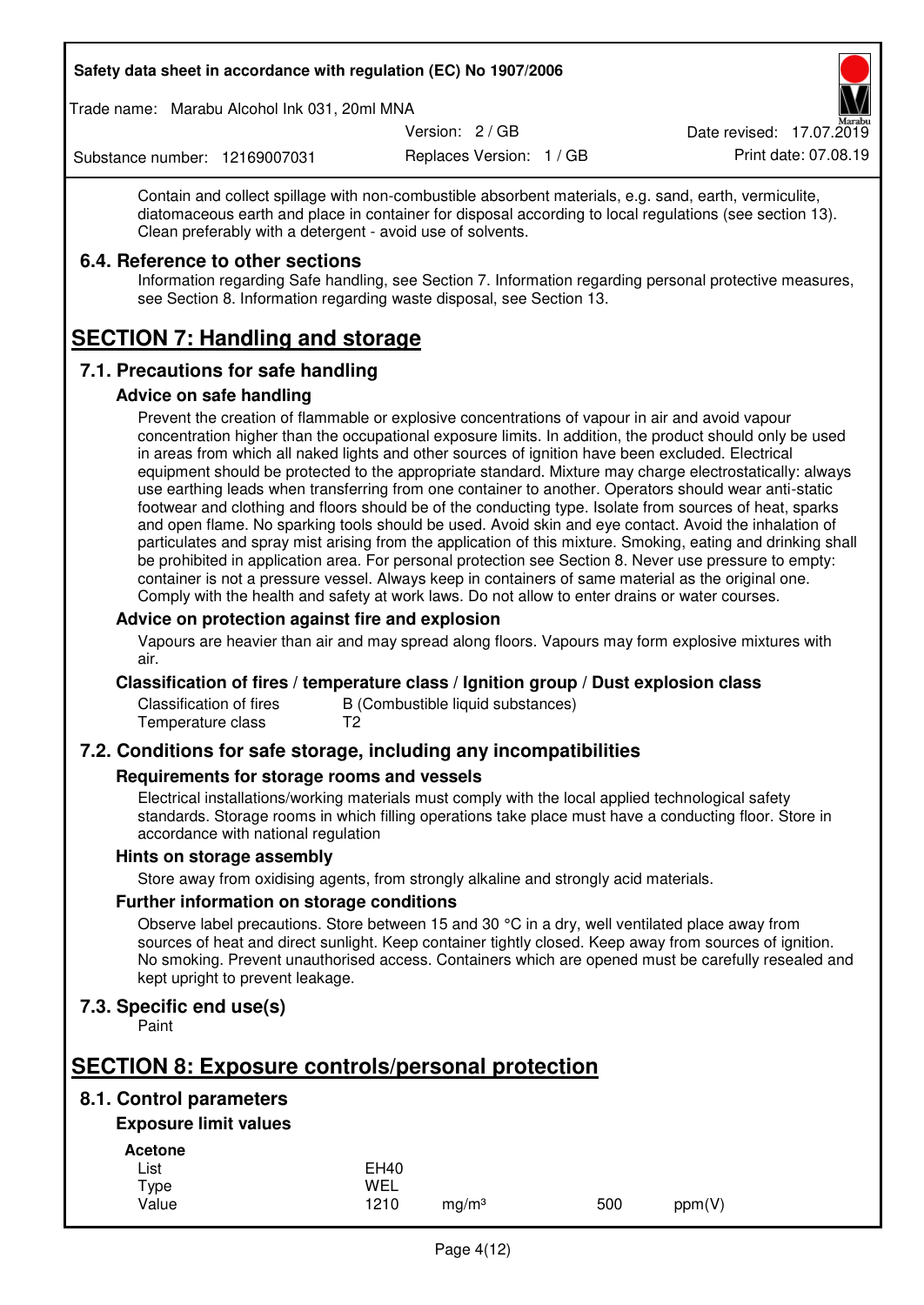Trade name: Marabu Alcohol Ink 031, 20ml MNA

Version: 2 / GB

Replaces Version: 1 / GB Print date: 07.08.19 Date revised: 17.07.2019

Substance number: 12169007031

Contain and collect spillage with non-combustible absorbent materials, e.g. sand, earth, vermiculite, diatomaceous earth and place in container for disposal according to local regulations (see section 13). Clean preferably with a detergent - avoid use of solvents.

### **6.4. Reference to other sections**

Information regarding Safe handling, see Section 7. Information regarding personal protective measures, see Section 8. Information regarding waste disposal, see Section 13.

# **SECTION 7: Handling and storage**

# **7.1. Precautions for safe handling**

#### **Advice on safe handling**

Prevent the creation of flammable or explosive concentrations of vapour in air and avoid vapour concentration higher than the occupational exposure limits. In addition, the product should only be used in areas from which all naked lights and other sources of ignition have been excluded. Electrical equipment should be protected to the appropriate standard. Mixture may charge electrostatically: always use earthing leads when transferring from one container to another. Operators should wear anti-static footwear and clothing and floors should be of the conducting type. Isolate from sources of heat, sparks and open flame. No sparking tools should be used. Avoid skin and eye contact. Avoid the inhalation of particulates and spray mist arising from the application of this mixture. Smoking, eating and drinking shall be prohibited in application area. For personal protection see Section 8. Never use pressure to empty: container is not a pressure vessel. Always keep in containers of same material as the original one. Comply with the health and safety at work laws. Do not allow to enter drains or water courses.

#### **Advice on protection against fire and explosion**

Vapours are heavier than air and may spread along floors. Vapours may form explosive mixtures with air.

#### **Classification of fires / temperature class / Ignition group / Dust explosion class**

Classification of fires B (Combustible liquid substances)<br>Temperature class T2 Temperature class

# **7.2. Conditions for safe storage, including any incompatibilities**

#### **Requirements for storage rooms and vessels**

Electrical installations/working materials must comply with the local applied technological safety standards. Storage rooms in which filling operations take place must have a conducting floor. Store in accordance with national regulation

#### **Hints on storage assembly**

Store away from oxidising agents, from strongly alkaline and strongly acid materials.

#### **Further information on storage conditions**

Observe label precautions. Store between 15 and 30 °C in a dry, well ventilated place away from sources of heat and direct sunlight. Keep container tightly closed. Keep away from sources of ignition. No smoking. Prevent unauthorised access. Containers which are opened must be carefully resealed and kept upright to prevent leakage.

# **7.3. Specific end use(s)**

Paint

# **SECTION 8: Exposure controls/personal protection**

# **8.1. Control parameters**

# **Exposure limit values**

**Acetone** 

| List  | <b>EH40</b> |                   |     |        |
|-------|-------------|-------------------|-----|--------|
| Type  | WEL         |                   |     |        |
| Value | 1210        | mg/m <sup>3</sup> | 500 | ppm(V) |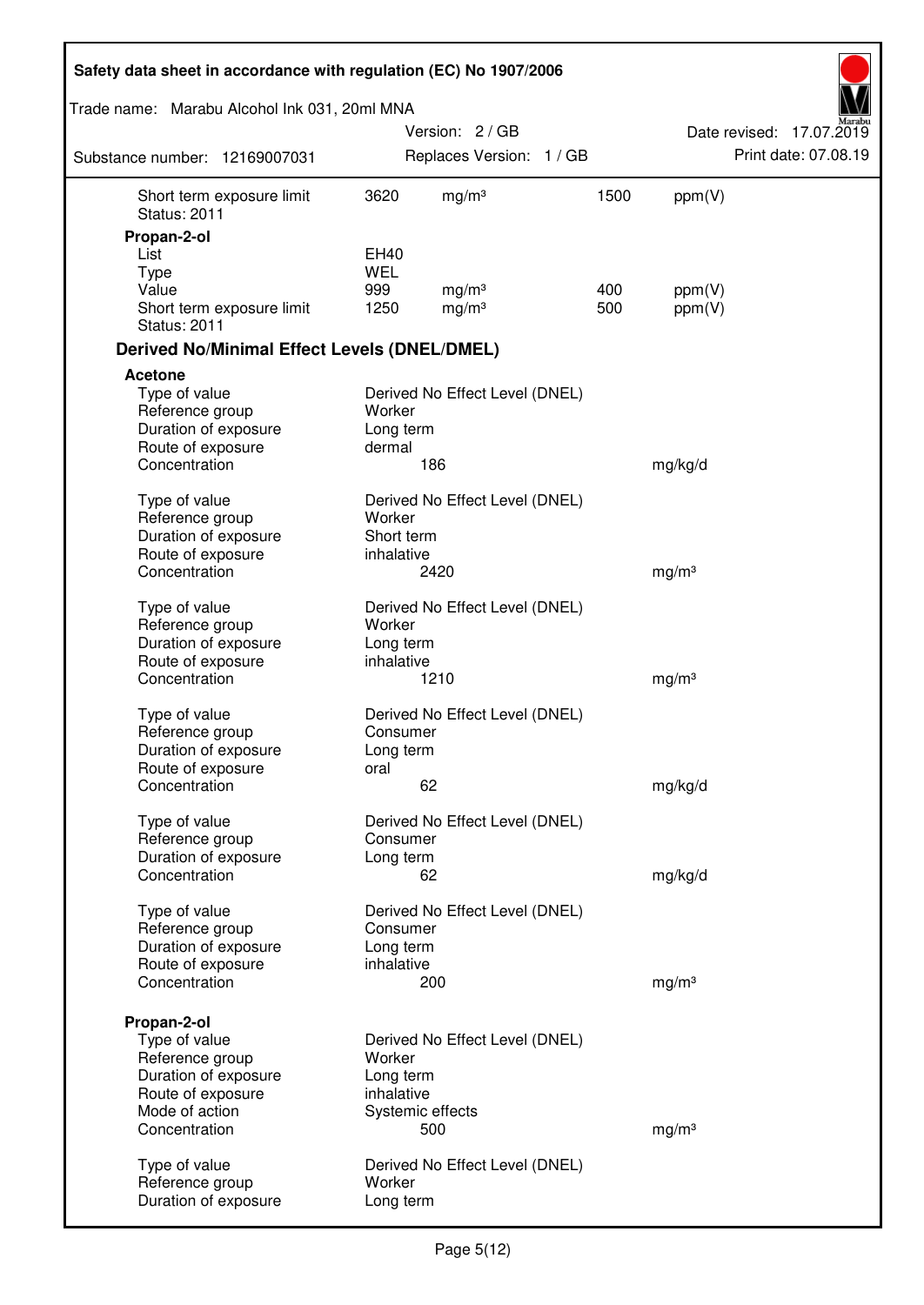| Safety data sheet in accordance with regulation (EC) No 1907/2006                                                               |                                     |                                                           |      |                   |                          |
|---------------------------------------------------------------------------------------------------------------------------------|-------------------------------------|-----------------------------------------------------------|------|-------------------|--------------------------|
| Trade name: Marabu Alcohol Ink 031, 20ml MNA                                                                                    |                                     |                                                           |      |                   |                          |
|                                                                                                                                 |                                     | Version: 2 / GB                                           |      |                   | Date revised: 17.07.2019 |
| Substance number: 12169007031                                                                                                   |                                     | Replaces Version: 1 / GB                                  |      |                   | Print date: 07.08.19     |
| Short term exposure limit<br><b>Status: 2011</b>                                                                                | 3620                                | mg/m <sup>3</sup>                                         | 1500 | ppm(V)            |                          |
| Propan-2-ol                                                                                                                     |                                     |                                                           |      |                   |                          |
| List                                                                                                                            | EH40<br><b>WEL</b>                  |                                                           |      |                   |                          |
| <b>Type</b><br>Value                                                                                                            | 999                                 | mg/m <sup>3</sup>                                         | 400  | ppm(V)            |                          |
| Short term exposure limit<br><b>Status: 2011</b>                                                                                | 1250                                | mg/m <sup>3</sup>                                         | 500  | ppm(V)            |                          |
| <b>Derived No/Minimal Effect Levels (DNEL/DMEL)</b>                                                                             |                                     |                                                           |      |                   |                          |
| <b>Acetone</b>                                                                                                                  |                                     |                                                           |      |                   |                          |
| Type of value<br>Reference group<br>Duration of exposure                                                                        | Worker<br>Long term                 | Derived No Effect Level (DNEL)                            |      |                   |                          |
| Route of exposure<br>Concentration                                                                                              | dermal                              | 186                                                       |      | mg/kg/d           |                          |
| Type of value<br>Reference group<br>Duration of exposure<br>Route of exposure                                                   | Worker<br>Short term<br>inhalative  | Derived No Effect Level (DNEL)                            |      |                   |                          |
| Concentration                                                                                                                   |                                     | 2420                                                      |      | mg/m <sup>3</sup> |                          |
| Type of value<br>Reference group<br>Duration of exposure<br>Route of exposure<br>Concentration                                  | Worker<br>Long term<br>inhalative   | Derived No Effect Level (DNEL)<br>1210                    |      | mg/m <sup>3</sup> |                          |
|                                                                                                                                 |                                     |                                                           |      |                   |                          |
| Type of value<br>Reference group<br>Duration of exposure<br>Route of exposure                                                   | Consumer<br>Long term<br>oral       | Derived No Effect Level (DNEL)                            |      |                   |                          |
| Concentration                                                                                                                   |                                     | 62                                                        |      | mg/kg/d           |                          |
| Type of value<br>Reference group<br>Duration of exposure<br>Concentration                                                       | Consumer<br>Long term               | Derived No Effect Level (DNEL)<br>62                      |      |                   |                          |
|                                                                                                                                 |                                     |                                                           |      | mg/kg/d           |                          |
| Type of value<br>Reference group<br>Duration of exposure<br>Route of exposure<br>Concentration                                  | Consumer<br>Long term<br>inhalative | Derived No Effect Level (DNEL)<br>200                     |      | mg/m <sup>3</sup> |                          |
|                                                                                                                                 |                                     |                                                           |      |                   |                          |
| Propan-2-ol<br>Type of value<br>Reference group<br>Duration of exposure<br>Route of exposure<br>Mode of action<br>Concentration | Worker<br>Long term<br>inhalative   | Derived No Effect Level (DNEL)<br>Systemic effects<br>500 |      | mg/m <sup>3</sup> |                          |
| Type of value<br>Reference group<br>Duration of exposure                                                                        | Worker<br>Long term                 | Derived No Effect Level (DNEL)                            |      |                   |                          |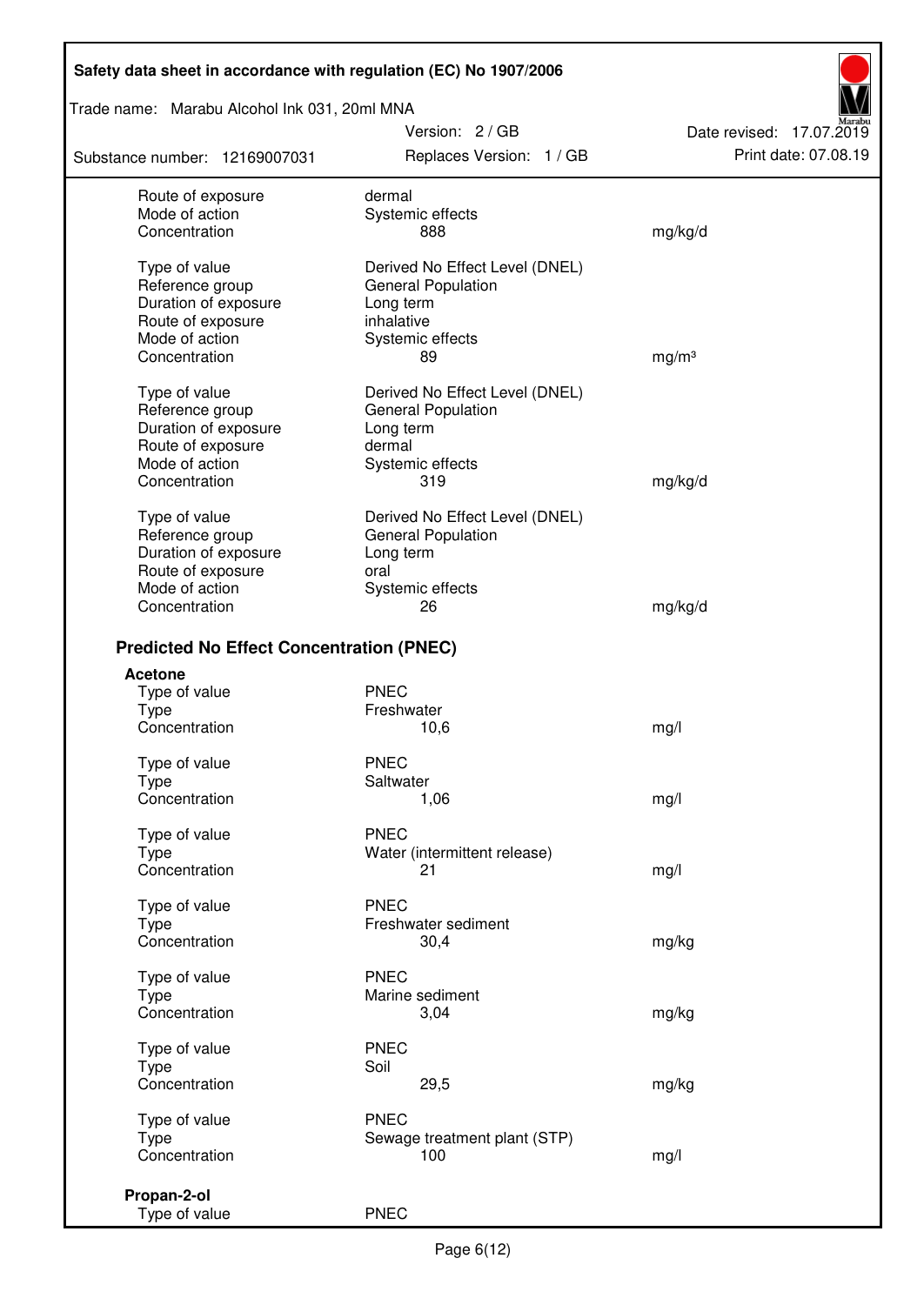Trade name: Marabu Alcohol Ink 031, 20ml MNA

Substance number: 12169007031

Version: 2 / GB Replaces Version: 1 / GB Print date: 07.08.19

Date revised: 17.07.2019

| Route of exposure                               | dermal                         |                   |
|-------------------------------------------------|--------------------------------|-------------------|
| Mode of action                                  | Systemic effects               |                   |
| Concentration                                   | 888                            | mg/kg/d           |
|                                                 |                                |                   |
| Type of value                                   | Derived No Effect Level (DNEL) |                   |
| Reference group                                 | <b>General Population</b>      |                   |
| Duration of exposure                            | Long term                      |                   |
| Route of exposure                               | inhalative                     |                   |
| Mode of action                                  | Systemic effects               |                   |
| Concentration                                   | 89                             | mg/m <sup>3</sup> |
|                                                 |                                |                   |
| Type of value                                   | Derived No Effect Level (DNEL) |                   |
| Reference group                                 | <b>General Population</b>      |                   |
| Duration of exposure                            | Long term                      |                   |
| Route of exposure                               | dermal                         |                   |
| Mode of action                                  | Systemic effects               |                   |
| Concentration                                   | 319                            | mg/kg/d           |
|                                                 |                                |                   |
| Type of value                                   | Derived No Effect Level (DNEL) |                   |
| Reference group                                 | <b>General Population</b>      |                   |
| Duration of exposure                            | Long term                      |                   |
| Route of exposure                               | oral                           |                   |
| Mode of action                                  | Systemic effects               |                   |
| Concentration                                   | 26                             | mg/kg/d           |
|                                                 |                                |                   |
| <b>Predicted No Effect Concentration (PNEC)</b> |                                |                   |
| <b>Acetone</b>                                  |                                |                   |
|                                                 | <b>PNEC</b>                    |                   |
| Type of value                                   | Freshwater                     |                   |
| <b>Type</b><br>Concentration                    |                                |                   |
|                                                 | 10,6                           | mg/l              |
| Type of value                                   | <b>PNEC</b>                    |                   |
| <b>Type</b>                                     | Saltwater                      |                   |
| Concentration                                   | 1,06                           | mg/l              |
|                                                 |                                |                   |
| Type of value                                   | <b>PNEC</b>                    |                   |
| Type                                            | Water (intermittent release)   |                   |
| Concentration                                   | 21                             | mg/l              |
|                                                 |                                |                   |
| Type of value                                   | <b>PNEC</b>                    |                   |
| Type                                            | Freshwater sediment            |                   |
| Concentration                                   | 30,4                           | mg/kg             |
|                                                 |                                |                   |
| Type of value                                   | <b>PNEC</b>                    |                   |
| Type                                            | Marine sediment                |                   |
| Concentration                                   | 3,04                           | mg/kg             |
|                                                 |                                |                   |
| Type of value                                   | <b>PNEC</b>                    |                   |
| <b>Type</b>                                     | Soil                           |                   |
| Concentration                                   | 29,5                           | mg/kg             |
|                                                 |                                |                   |
| Type of value                                   | <b>PNEC</b>                    |                   |
| Type                                            | Sewage treatment plant (STP)   |                   |
| Concentration                                   | 100                            | mg/l              |
|                                                 |                                |                   |
| Propan-2-ol                                     |                                |                   |
| Type of value                                   | <b>PNEC</b>                    |                   |
|                                                 |                                |                   |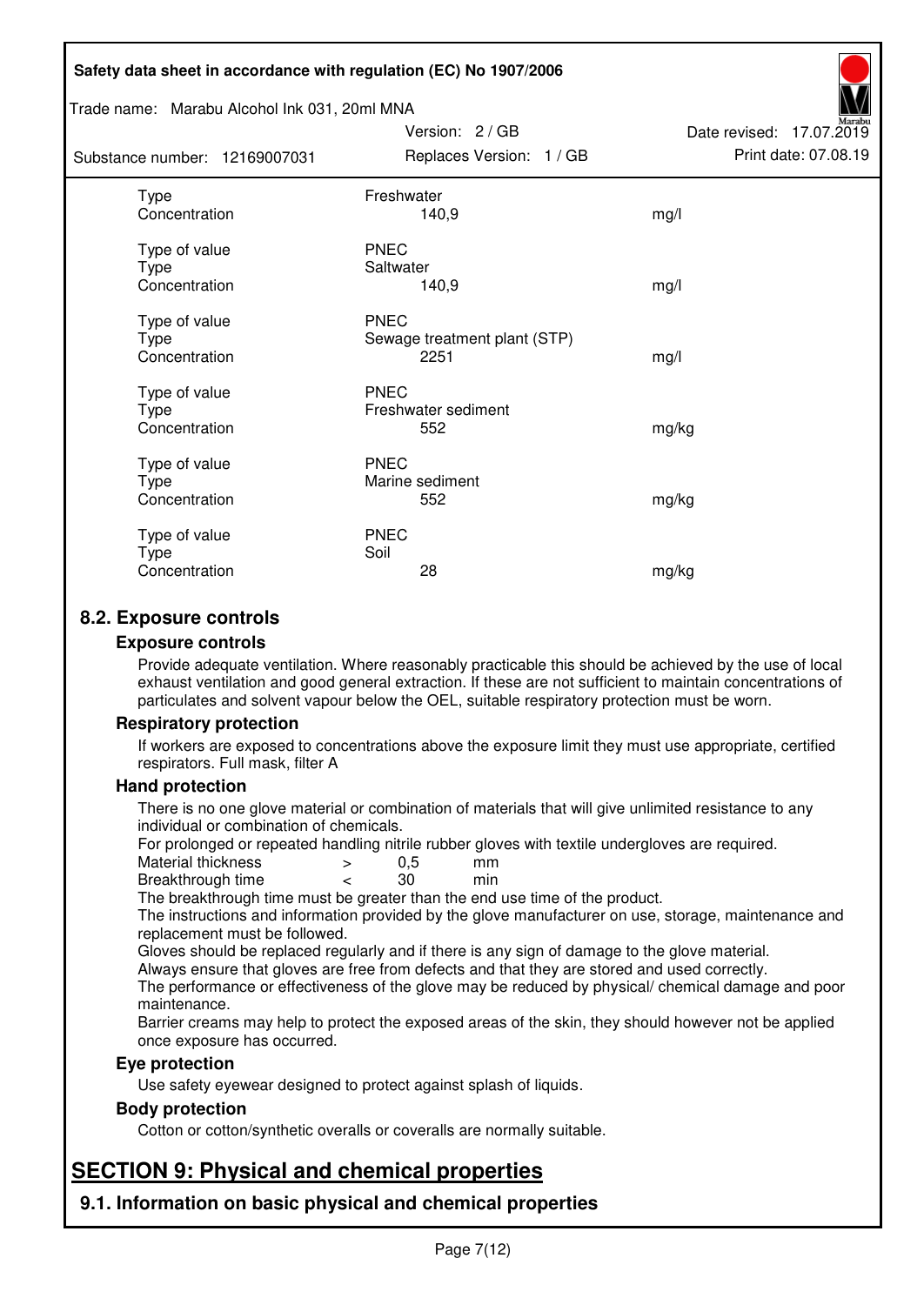#### Trade name: Marabu Alcohol Ink 031, 20ml MNA

| Substance number: 12169007031          | Replaces Version: 1 / GB                            | Print date: 07.08.19 |
|----------------------------------------|-----------------------------------------------------|----------------------|
| Type<br>Concentration                  | Freshwater<br>140,9                                 | mg/l                 |
| Type of value<br>Type<br>Concentration | <b>PNEC</b><br>Saltwater<br>140,9                   | mg/l                 |
| Type of value<br>Type<br>Concentration | <b>PNEC</b><br>Sewage treatment plant (STP)<br>2251 | mg/l                 |
| Type of value<br>Type<br>Concentration | <b>PNEC</b><br>Freshwater sediment<br>552           | mg/kg                |
| Type of value<br>Type<br>Concentration | <b>PNEC</b><br>Marine sediment<br>552               | mg/kg                |
| Type of value<br>Type<br>Concentration | <b>PNEC</b><br>Soil<br>28                           | mg/kg                |

Version: 2 / GB

Date revised: 17.07.2019

# **8.2. Exposure controls**

#### **Exposure controls**

Provide adequate ventilation. Where reasonably practicable this should be achieved by the use of local exhaust ventilation and good general extraction. If these are not sufficient to maintain concentrations of particulates and solvent vapour below the OEL, suitable respiratory protection must be worn.

#### **Respiratory protection**

If workers are exposed to concentrations above the exposure limit they must use appropriate, certified respirators. Full mask, filter A

#### **Hand protection**

There is no one glove material or combination of materials that will give unlimited resistance to any individual or combination of chemicals.

For prolonged or repeated handling nitrile rubber gloves with textile undergloves are required.<br>Material thickness  $\geq 0.5$  mm

- Material thickness  $\begin{array}{ccc} 0.5 \\ -8.5 \end{array}$  Material thickness  $\begin{array}{ccc} 0.5 \\ -8.5 \end{array}$
- Breakthrough time < 30 min

The breakthrough time must be greater than the end use time of the product.

The instructions and information provided by the glove manufacturer on use, storage, maintenance and replacement must be followed.

Gloves should be replaced regularly and if there is any sign of damage to the glove material.

Always ensure that gloves are free from defects and that they are stored and used correctly.

The performance or effectiveness of the glove may be reduced by physical/ chemical damage and poor maintenance.

Barrier creams may help to protect the exposed areas of the skin, they should however not be applied once exposure has occurred.

#### **Eye protection**

Use safety eyewear designed to protect against splash of liquids.

#### **Body protection**

Cotton or cotton/synthetic overalls or coveralls are normally suitable.

# **SECTION 9: Physical and chemical properties**

**9.1. Information on basic physical and chemical properties**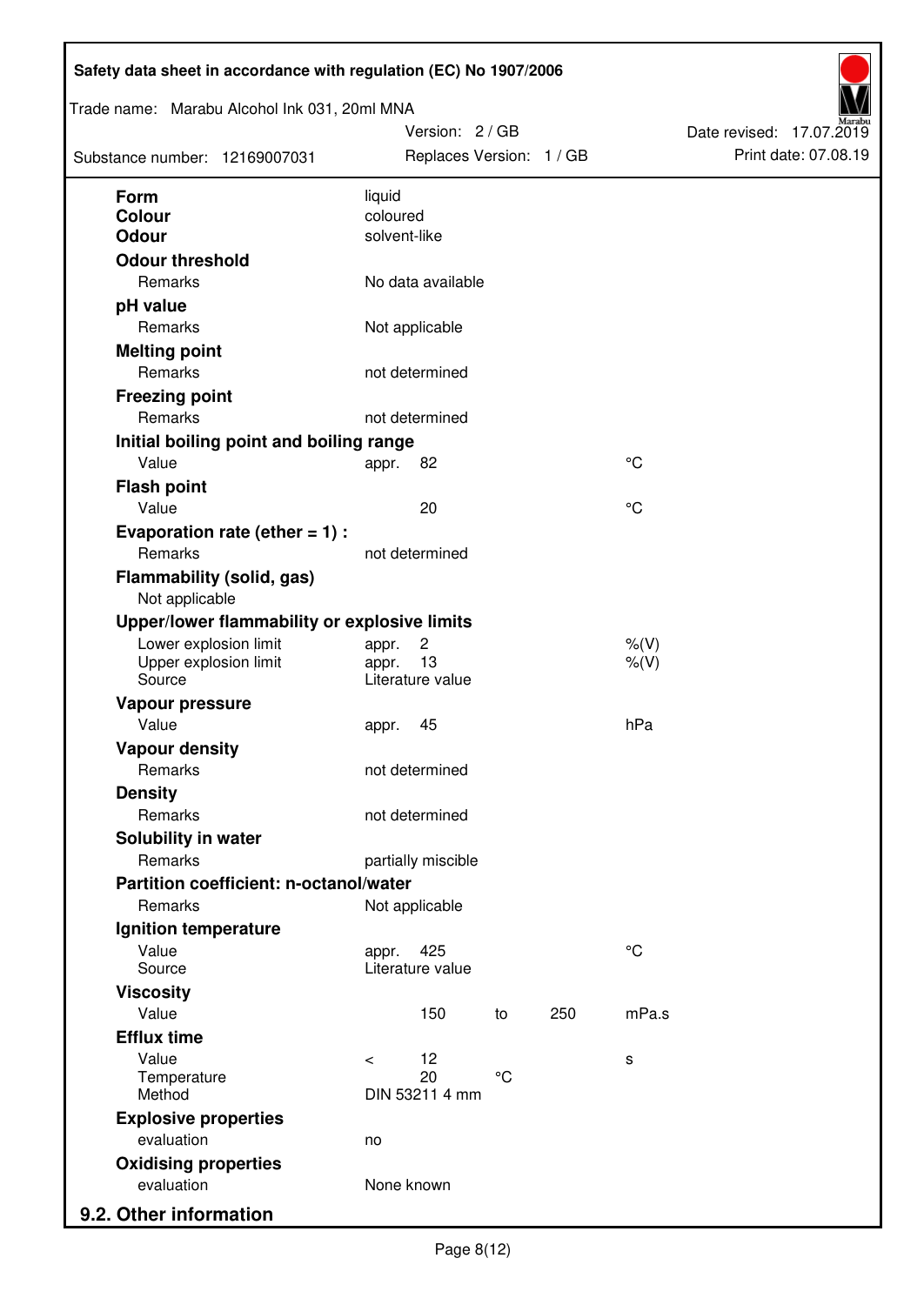| Form<br>liquid<br>coloured<br><b>Colour</b><br><b>Odour</b><br>solvent-like<br><b>Odour threshold</b><br>Remarks<br>No data available<br>pH value<br>Remarks<br>Not applicable<br><b>Melting point</b><br>Remarks<br>not determined<br><b>Freezing point</b><br>Remarks<br>not determined<br>Initial boiling point and boiling range<br>Value<br>$^{\circ}C$<br>82<br>appr.<br><b>Flash point</b><br>$^{\circ}C$<br>Value<br>20<br>Evaporation rate (ether $= 1$ ) :<br>Remarks<br>not determined<br><b>Flammability (solid, gas)</b><br>Not applicable<br>Upper/lower flammability or explosive limits<br>Lower explosion limit<br>$\overline{c}$<br>$%$ (V)<br>appr.<br>13<br>Upper explosion limit<br>$%$ (V)<br>appr.<br>Source<br>Literature value<br>Vapour pressure<br>Value<br>hPa<br>45<br>appr.<br><b>Vapour density</b><br>Remarks<br>not determined<br><b>Density</b><br>Remarks<br>not determined<br>Solubility in water<br>Remarks<br>partially miscible<br>Partition coefficient: n-octanol/water<br>Remarks<br>Not applicable<br>Ignition temperature<br>$^{\circ}C$<br>Value<br>425<br>appr.<br>Source<br>Literature value<br><b>Viscosity</b><br>Value<br>mPa.s<br>250<br>150<br>to<br><b>Efflux time</b><br>Value<br>12<br>$\,<\,$<br>s<br>$\rm ^{\circ}C$<br>20<br>Temperature<br>DIN 53211 4 mm<br>Method<br><b>Explosive properties</b><br>evaluation<br>no<br><b>Oxidising properties</b> | Trade name: Marabu Alcohol Ink 031, 20ml MNA<br>Substance number: 12169007031 | Version: 2 / GB<br>Replaces Version: 1 / GB |  | Date revised: 17.07.2019<br>Print date: 07.08.19 |  |
|------------------------------------------------------------------------------------------------------------------------------------------------------------------------------------------------------------------------------------------------------------------------------------------------------------------------------------------------------------------------------------------------------------------------------------------------------------------------------------------------------------------------------------------------------------------------------------------------------------------------------------------------------------------------------------------------------------------------------------------------------------------------------------------------------------------------------------------------------------------------------------------------------------------------------------------------------------------------------------------------------------------------------------------------------------------------------------------------------------------------------------------------------------------------------------------------------------------------------------------------------------------------------------------------------------------------------------------------------------------------------------------------------------------|-------------------------------------------------------------------------------|---------------------------------------------|--|--------------------------------------------------|--|
|                                                                                                                                                                                                                                                                                                                                                                                                                                                                                                                                                                                                                                                                                                                                                                                                                                                                                                                                                                                                                                                                                                                                                                                                                                                                                                                                                                                                                  |                                                                               |                                             |  |                                                  |  |
|                                                                                                                                                                                                                                                                                                                                                                                                                                                                                                                                                                                                                                                                                                                                                                                                                                                                                                                                                                                                                                                                                                                                                                                                                                                                                                                                                                                                                  |                                                                               |                                             |  |                                                  |  |
|                                                                                                                                                                                                                                                                                                                                                                                                                                                                                                                                                                                                                                                                                                                                                                                                                                                                                                                                                                                                                                                                                                                                                                                                                                                                                                                                                                                                                  |                                                                               |                                             |  |                                                  |  |
|                                                                                                                                                                                                                                                                                                                                                                                                                                                                                                                                                                                                                                                                                                                                                                                                                                                                                                                                                                                                                                                                                                                                                                                                                                                                                                                                                                                                                  |                                                                               |                                             |  |                                                  |  |
|                                                                                                                                                                                                                                                                                                                                                                                                                                                                                                                                                                                                                                                                                                                                                                                                                                                                                                                                                                                                                                                                                                                                                                                                                                                                                                                                                                                                                  |                                                                               |                                             |  |                                                  |  |
|                                                                                                                                                                                                                                                                                                                                                                                                                                                                                                                                                                                                                                                                                                                                                                                                                                                                                                                                                                                                                                                                                                                                                                                                                                                                                                                                                                                                                  |                                                                               |                                             |  |                                                  |  |
|                                                                                                                                                                                                                                                                                                                                                                                                                                                                                                                                                                                                                                                                                                                                                                                                                                                                                                                                                                                                                                                                                                                                                                                                                                                                                                                                                                                                                  |                                                                               |                                             |  |                                                  |  |
|                                                                                                                                                                                                                                                                                                                                                                                                                                                                                                                                                                                                                                                                                                                                                                                                                                                                                                                                                                                                                                                                                                                                                                                                                                                                                                                                                                                                                  |                                                                               |                                             |  |                                                  |  |
|                                                                                                                                                                                                                                                                                                                                                                                                                                                                                                                                                                                                                                                                                                                                                                                                                                                                                                                                                                                                                                                                                                                                                                                                                                                                                                                                                                                                                  |                                                                               |                                             |  |                                                  |  |
|                                                                                                                                                                                                                                                                                                                                                                                                                                                                                                                                                                                                                                                                                                                                                                                                                                                                                                                                                                                                                                                                                                                                                                                                                                                                                                                                                                                                                  |                                                                               |                                             |  |                                                  |  |
|                                                                                                                                                                                                                                                                                                                                                                                                                                                                                                                                                                                                                                                                                                                                                                                                                                                                                                                                                                                                                                                                                                                                                                                                                                                                                                                                                                                                                  |                                                                               |                                             |  |                                                  |  |
|                                                                                                                                                                                                                                                                                                                                                                                                                                                                                                                                                                                                                                                                                                                                                                                                                                                                                                                                                                                                                                                                                                                                                                                                                                                                                                                                                                                                                  |                                                                               |                                             |  |                                                  |  |
|                                                                                                                                                                                                                                                                                                                                                                                                                                                                                                                                                                                                                                                                                                                                                                                                                                                                                                                                                                                                                                                                                                                                                                                                                                                                                                                                                                                                                  |                                                                               |                                             |  |                                                  |  |
|                                                                                                                                                                                                                                                                                                                                                                                                                                                                                                                                                                                                                                                                                                                                                                                                                                                                                                                                                                                                                                                                                                                                                                                                                                                                                                                                                                                                                  |                                                                               |                                             |  |                                                  |  |
|                                                                                                                                                                                                                                                                                                                                                                                                                                                                                                                                                                                                                                                                                                                                                                                                                                                                                                                                                                                                                                                                                                                                                                                                                                                                                                                                                                                                                  |                                                                               |                                             |  |                                                  |  |
|                                                                                                                                                                                                                                                                                                                                                                                                                                                                                                                                                                                                                                                                                                                                                                                                                                                                                                                                                                                                                                                                                                                                                                                                                                                                                                                                                                                                                  |                                                                               |                                             |  |                                                  |  |
|                                                                                                                                                                                                                                                                                                                                                                                                                                                                                                                                                                                                                                                                                                                                                                                                                                                                                                                                                                                                                                                                                                                                                                                                                                                                                                                                                                                                                  |                                                                               |                                             |  |                                                  |  |
|                                                                                                                                                                                                                                                                                                                                                                                                                                                                                                                                                                                                                                                                                                                                                                                                                                                                                                                                                                                                                                                                                                                                                                                                                                                                                                                                                                                                                  |                                                                               |                                             |  |                                                  |  |
|                                                                                                                                                                                                                                                                                                                                                                                                                                                                                                                                                                                                                                                                                                                                                                                                                                                                                                                                                                                                                                                                                                                                                                                                                                                                                                                                                                                                                  |                                                                               |                                             |  |                                                  |  |
|                                                                                                                                                                                                                                                                                                                                                                                                                                                                                                                                                                                                                                                                                                                                                                                                                                                                                                                                                                                                                                                                                                                                                                                                                                                                                                                                                                                                                  |                                                                               |                                             |  |                                                  |  |
|                                                                                                                                                                                                                                                                                                                                                                                                                                                                                                                                                                                                                                                                                                                                                                                                                                                                                                                                                                                                                                                                                                                                                                                                                                                                                                                                                                                                                  |                                                                               |                                             |  |                                                  |  |
|                                                                                                                                                                                                                                                                                                                                                                                                                                                                                                                                                                                                                                                                                                                                                                                                                                                                                                                                                                                                                                                                                                                                                                                                                                                                                                                                                                                                                  |                                                                               |                                             |  |                                                  |  |
|                                                                                                                                                                                                                                                                                                                                                                                                                                                                                                                                                                                                                                                                                                                                                                                                                                                                                                                                                                                                                                                                                                                                                                                                                                                                                                                                                                                                                  |                                                                               |                                             |  |                                                  |  |
|                                                                                                                                                                                                                                                                                                                                                                                                                                                                                                                                                                                                                                                                                                                                                                                                                                                                                                                                                                                                                                                                                                                                                                                                                                                                                                                                                                                                                  |                                                                               |                                             |  |                                                  |  |
|                                                                                                                                                                                                                                                                                                                                                                                                                                                                                                                                                                                                                                                                                                                                                                                                                                                                                                                                                                                                                                                                                                                                                                                                                                                                                                                                                                                                                  |                                                                               |                                             |  |                                                  |  |
|                                                                                                                                                                                                                                                                                                                                                                                                                                                                                                                                                                                                                                                                                                                                                                                                                                                                                                                                                                                                                                                                                                                                                                                                                                                                                                                                                                                                                  |                                                                               |                                             |  |                                                  |  |
|                                                                                                                                                                                                                                                                                                                                                                                                                                                                                                                                                                                                                                                                                                                                                                                                                                                                                                                                                                                                                                                                                                                                                                                                                                                                                                                                                                                                                  |                                                                               |                                             |  |                                                  |  |
|                                                                                                                                                                                                                                                                                                                                                                                                                                                                                                                                                                                                                                                                                                                                                                                                                                                                                                                                                                                                                                                                                                                                                                                                                                                                                                                                                                                                                  |                                                                               |                                             |  |                                                  |  |
|                                                                                                                                                                                                                                                                                                                                                                                                                                                                                                                                                                                                                                                                                                                                                                                                                                                                                                                                                                                                                                                                                                                                                                                                                                                                                                                                                                                                                  |                                                                               |                                             |  |                                                  |  |
|                                                                                                                                                                                                                                                                                                                                                                                                                                                                                                                                                                                                                                                                                                                                                                                                                                                                                                                                                                                                                                                                                                                                                                                                                                                                                                                                                                                                                  |                                                                               |                                             |  |                                                  |  |
|                                                                                                                                                                                                                                                                                                                                                                                                                                                                                                                                                                                                                                                                                                                                                                                                                                                                                                                                                                                                                                                                                                                                                                                                                                                                                                                                                                                                                  |                                                                               |                                             |  |                                                  |  |
|                                                                                                                                                                                                                                                                                                                                                                                                                                                                                                                                                                                                                                                                                                                                                                                                                                                                                                                                                                                                                                                                                                                                                                                                                                                                                                                                                                                                                  |                                                                               |                                             |  |                                                  |  |
|                                                                                                                                                                                                                                                                                                                                                                                                                                                                                                                                                                                                                                                                                                                                                                                                                                                                                                                                                                                                                                                                                                                                                                                                                                                                                                                                                                                                                  |                                                                               |                                             |  |                                                  |  |
|                                                                                                                                                                                                                                                                                                                                                                                                                                                                                                                                                                                                                                                                                                                                                                                                                                                                                                                                                                                                                                                                                                                                                                                                                                                                                                                                                                                                                  |                                                                               |                                             |  |                                                  |  |
|                                                                                                                                                                                                                                                                                                                                                                                                                                                                                                                                                                                                                                                                                                                                                                                                                                                                                                                                                                                                                                                                                                                                                                                                                                                                                                                                                                                                                  |                                                                               |                                             |  |                                                  |  |
|                                                                                                                                                                                                                                                                                                                                                                                                                                                                                                                                                                                                                                                                                                                                                                                                                                                                                                                                                                                                                                                                                                                                                                                                                                                                                                                                                                                                                  |                                                                               |                                             |  |                                                  |  |
|                                                                                                                                                                                                                                                                                                                                                                                                                                                                                                                                                                                                                                                                                                                                                                                                                                                                                                                                                                                                                                                                                                                                                                                                                                                                                                                                                                                                                  |                                                                               |                                             |  |                                                  |  |
|                                                                                                                                                                                                                                                                                                                                                                                                                                                                                                                                                                                                                                                                                                                                                                                                                                                                                                                                                                                                                                                                                                                                                                                                                                                                                                                                                                                                                  |                                                                               |                                             |  |                                                  |  |
|                                                                                                                                                                                                                                                                                                                                                                                                                                                                                                                                                                                                                                                                                                                                                                                                                                                                                                                                                                                                                                                                                                                                                                                                                                                                                                                                                                                                                  |                                                                               |                                             |  |                                                  |  |
|                                                                                                                                                                                                                                                                                                                                                                                                                                                                                                                                                                                                                                                                                                                                                                                                                                                                                                                                                                                                                                                                                                                                                                                                                                                                                                                                                                                                                  |                                                                               |                                             |  |                                                  |  |
|                                                                                                                                                                                                                                                                                                                                                                                                                                                                                                                                                                                                                                                                                                                                                                                                                                                                                                                                                                                                                                                                                                                                                                                                                                                                                                                                                                                                                  |                                                                               |                                             |  |                                                  |  |
|                                                                                                                                                                                                                                                                                                                                                                                                                                                                                                                                                                                                                                                                                                                                                                                                                                                                                                                                                                                                                                                                                                                                                                                                                                                                                                                                                                                                                  |                                                                               |                                             |  |                                                  |  |
|                                                                                                                                                                                                                                                                                                                                                                                                                                                                                                                                                                                                                                                                                                                                                                                                                                                                                                                                                                                                                                                                                                                                                                                                                                                                                                                                                                                                                  |                                                                               |                                             |  |                                                  |  |
|                                                                                                                                                                                                                                                                                                                                                                                                                                                                                                                                                                                                                                                                                                                                                                                                                                                                                                                                                                                                                                                                                                                                                                                                                                                                                                                                                                                                                  | 9.2. Other information                                                        |                                             |  |                                                  |  |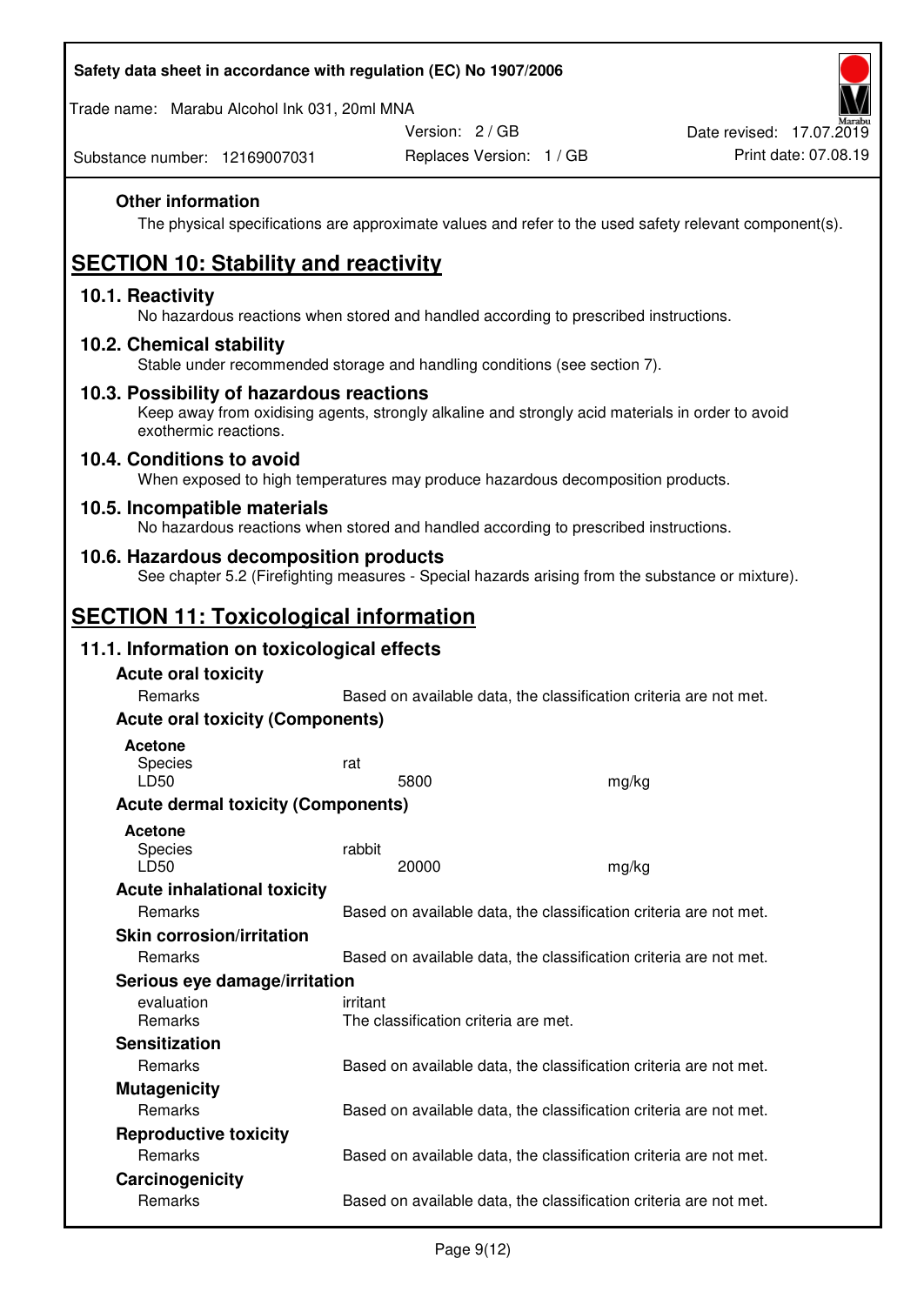| Safety data sheet in accordance with regulation (EC) No 1907/2006 |  |
|-------------------------------------------------------------------|--|
|-------------------------------------------------------------------|--|

Trade name: Marabu Alcohol Ink 031, 20ml MNA

Version: 2 / GB

Substance number: 12169007031

### **Other information**

The physical specifications are approximate values and refer to the used safety relevant component(s).

# **SECTION 10: Stability and reactivity**

### **10.1. Reactivity**

No hazardous reactions when stored and handled according to prescribed instructions.

#### **10.2. Chemical stability**

Stable under recommended storage and handling conditions (see section 7).

#### **10.3. Possibility of hazardous reactions**

Keep away from oxidising agents, strongly alkaline and strongly acid materials in order to avoid exothermic reactions.

#### **10.4. Conditions to avoid**

When exposed to high temperatures may produce hazardous decomposition products.

#### **10.5. Incompatible materials**

No hazardous reactions when stored and handled according to prescribed instructions.

### **10.6. Hazardous decomposition products**

See chapter 5.2 (Firefighting measures - Special hazards arising from the substance or mixture).

# **SECTION 11: Toxicological information**

### **11.1. Information on toxicological effects**

| <b>Acute oral toxicity</b>                |                                                                   |       |
|-------------------------------------------|-------------------------------------------------------------------|-------|
| Remarks                                   | Based on available data, the classification criteria are not met. |       |
| <b>Acute oral toxicity (Components)</b>   |                                                                   |       |
| <b>Acetone</b><br><b>Species</b><br>LD50  | rat<br>5800                                                       | mg/kg |
| <b>Acute dermal toxicity (Components)</b> |                                                                   |       |
| <b>Acetone</b><br>Species<br>LD50         | rabbit<br>20000                                                   | mg/kg |
| <b>Acute inhalational toxicity</b>        |                                                                   |       |
| Remarks                                   | Based on available data, the classification criteria are not met. |       |
| <b>Skin corrosion/irritation</b>          |                                                                   |       |
| Remarks                                   | Based on available data, the classification criteria are not met. |       |
| Serious eye damage/irritation             |                                                                   |       |
| evaluation<br><b>Remarks</b>              | irritant<br>The classification criteria are met.                  |       |
| <b>Sensitization</b>                      |                                                                   |       |
| Remarks                                   | Based on available data, the classification criteria are not met. |       |
| <b>Mutagenicity</b>                       |                                                                   |       |
| Remarks                                   | Based on available data, the classification criteria are not met. |       |
| <b>Reproductive toxicity</b>              |                                                                   |       |
| Remarks                                   | Based on available data, the classification criteria are not met. |       |
| Carcinogenicity                           |                                                                   |       |
| Remarks                                   | Based on available data, the classification criteria are not met. |       |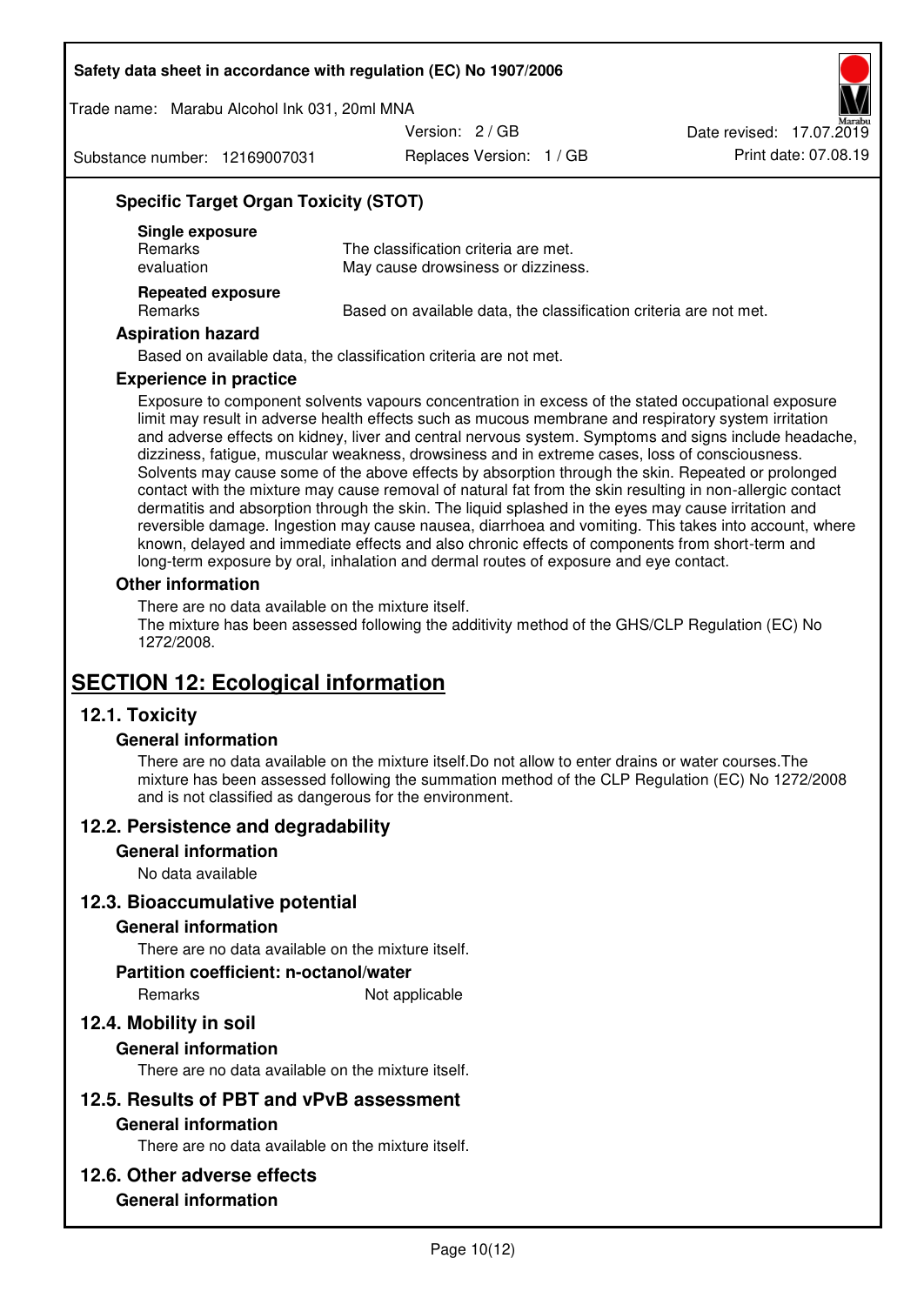Trade name: Marabu Alcohol Ink 031, 20ml MNA

Version: 2 / GB

Substance number: 12169007031

Replaces Version: 1 / GB Print date: 07.08.19 Date revised: 17.07.2019

# **Specific Target Organ Toxicity (STOT)**

| Single exposure<br><b>Remarks</b><br>evaluation | The classification criteria are met.<br>May cause drowsiness or dizziness. |
|-------------------------------------------------|----------------------------------------------------------------------------|
| <b>Repeated exposure</b><br>Remarks             | Based on available data, the classification criteria are not met.          |

#### **Aspiration hazard**

Based on available data, the classification criteria are not met.

#### **Experience in practice**

Exposure to component solvents vapours concentration in excess of the stated occupational exposure limit may result in adverse health effects such as mucous membrane and respiratory system irritation and adverse effects on kidney, liver and central nervous system. Symptoms and signs include headache, dizziness, fatigue, muscular weakness, drowsiness and in extreme cases, loss of consciousness. Solvents may cause some of the above effects by absorption through the skin. Repeated or prolonged contact with the mixture may cause removal of natural fat from the skin resulting in non-allergic contact dermatitis and absorption through the skin. The liquid splashed in the eyes may cause irritation and reversible damage. Ingestion may cause nausea, diarrhoea and vomiting. This takes into account, where known, delayed and immediate effects and also chronic effects of components from short-term and long-term exposure by oral, inhalation and dermal routes of exposure and eye contact.

#### **Other information**

There are no data available on the mixture itself. The mixture has been assessed following the additivity method of the GHS/CLP Regulation (EC) No 1272/2008.

# **SECTION 12: Ecological information**

# **12.1. Toxicity**

#### **General information**

There are no data available on the mixture itself.Do not allow to enter drains or water courses.The mixture has been assessed following the summation method of the CLP Regulation (EC) No 1272/2008 and is not classified as dangerous for the environment.

#### **12.2. Persistence and degradability**

#### **General information**

No data available

#### **12.3. Bioaccumulative potential**

#### **General information**

There are no data available on the mixture itself.

#### **Partition coefficient: n-octanol/water**

Remarks Not applicable

# **12.4. Mobility in soil**

#### **General information**

There are no data available on the mixture itself.

#### **12.5. Results of PBT and vPvB assessment**

#### **General information**

There are no data available on the mixture itself.

#### **12.6. Other adverse effects**

### **General information**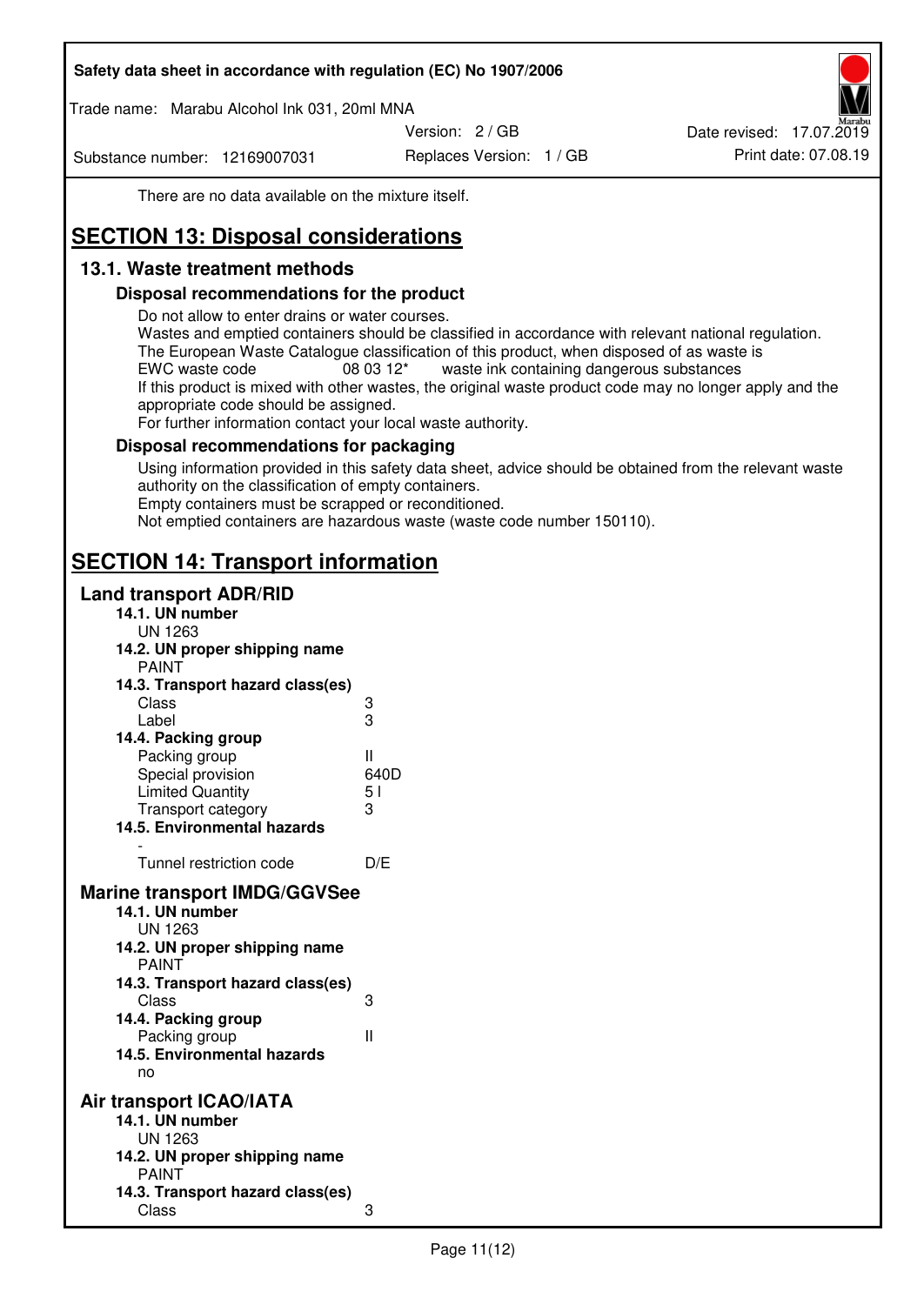Trade name: Marabu Alcohol Ink 031, 20ml MNA

Version: 2 / GB

Substance number: 12169007031

Replaces Version: 1 / GB Print date: 07.08.19 Date revised: 17.07.2019

There are no data available on the mixture itself.

# **SECTION 13: Disposal considerations**

# **13.1. Waste treatment methods**

### **Disposal recommendations for the product**

Do not allow to enter drains or water courses.

Wastes and emptied containers should be classified in accordance with relevant national regulation. The European Waste Catalogue classification of this product, when disposed of as waste is EWC waste code  $08\,03\,12^*$  waste ink containing dangerous substances If this product is mixed with other wastes, the original waste product code may no longer apply and the appropriate code should be assigned.

For further information contact your local waste authority.

### **Disposal recommendations for packaging**

Using information provided in this safety data sheet, advice should be obtained from the relevant waste authority on the classification of empty containers. Empty containers must be scrapped or reconditioned.

Not emptied containers are hazardous waste (waste code number 150110).

# **SECTION 14: Transport information**

#### **Land transport ADR/RID**

| 14.1. UN number<br><b>UN 1263</b>                                                                                                                                                                                                            |                   |
|----------------------------------------------------------------------------------------------------------------------------------------------------------------------------------------------------------------------------------------------|-------------------|
| 14.2. UN proper shipping name                                                                                                                                                                                                                |                   |
| <b>PAINT</b>                                                                                                                                                                                                                                 |                   |
| 14.3. Transport hazard class(es)                                                                                                                                                                                                             |                   |
| Class                                                                                                                                                                                                                                        |                   |
| Label                                                                                                                                                                                                                                        | ვ<br>ვ            |
| 14.4. Packing group                                                                                                                                                                                                                          |                   |
| Packing group                                                                                                                                                                                                                                | Ш                 |
| Special provision                                                                                                                                                                                                                            | 640D              |
| <b>Limited Quantity</b>                                                                                                                                                                                                                      | 5 <sub>1</sub>    |
| Transport category                                                                                                                                                                                                                           | 3                 |
| 14.5. Environmental hazards                                                                                                                                                                                                                  |                   |
| Tunnel restriction code                                                                                                                                                                                                                      | D/E               |
|                                                                                                                                                                                                                                              |                   |
| <b>Marine transport IMDG/GGVSee</b><br>14.1. UN number<br>UN 1263<br>14.2. UN proper shipping name<br><b>PAINT</b><br>14.3. Transport hazard class(es)<br>Class<br>14.4. Packing group<br>Packing group<br>14.5. Environmental hazards<br>no | 3<br>$\mathbf{I}$ |
| Air transport ICAO/IATA                                                                                                                                                                                                                      |                   |
| 14.1. UN number                                                                                                                                                                                                                              |                   |
| UN 1263                                                                                                                                                                                                                                      |                   |
| 14.2. UN proper shipping name<br><b>PAINT</b>                                                                                                                                                                                                |                   |
| 14.3. Transport hazard class(es)                                                                                                                                                                                                             |                   |
| Class                                                                                                                                                                                                                                        | 3                 |
|                                                                                                                                                                                                                                              |                   |